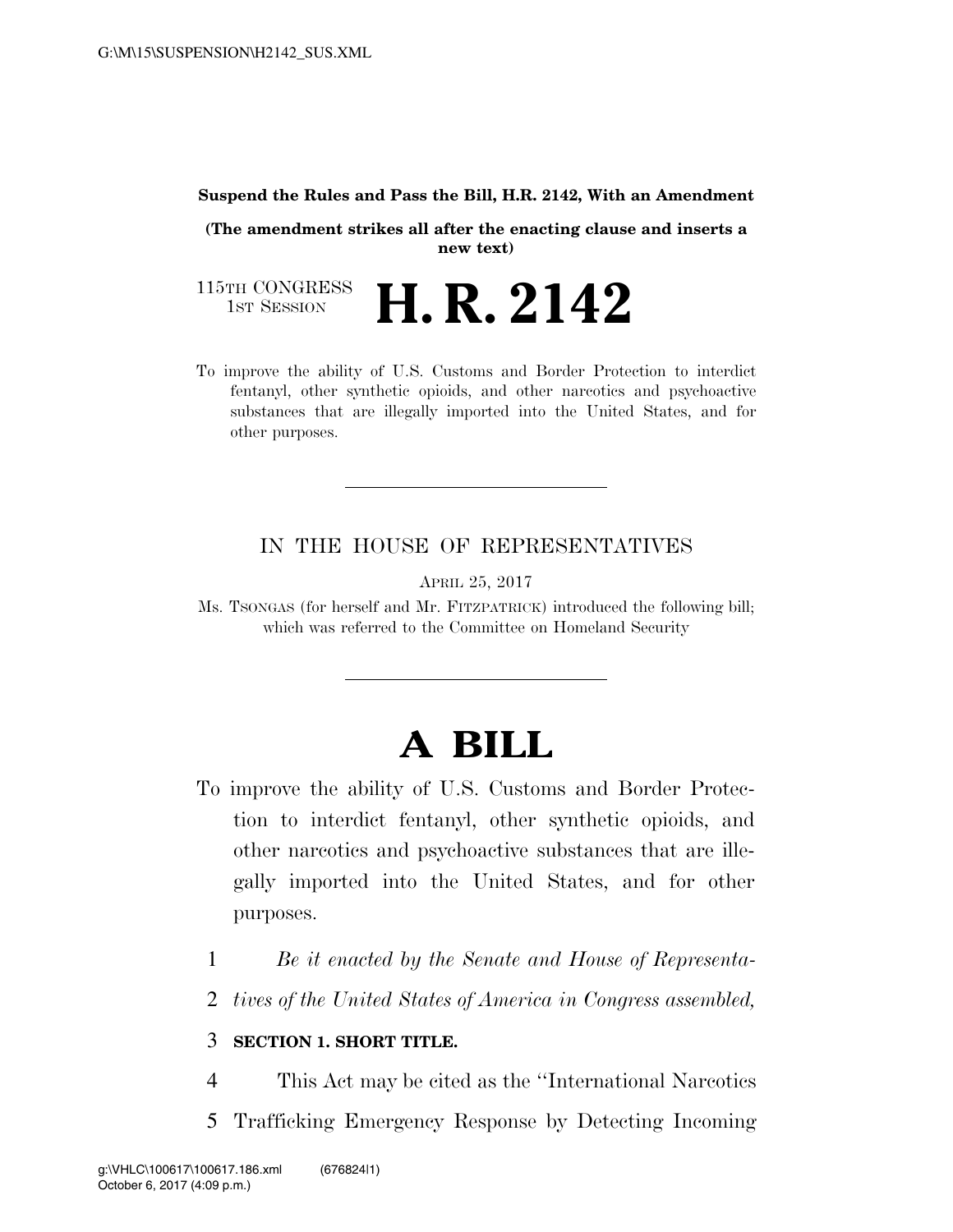#### **Suspend the Rules and Pass the Bill, H.R. 2142, With an Amendment**

**(The amendment strikes all after the enacting clause and inserts a new text)** 

115TH CONGRESS<br>1st Session H. R. 2142

To improve the ability of U.S. Customs and Border Protection to interdict fentanyl, other synthetic opioids, and other narcotics and psychoactive substances that are illegally imported into the United States, and for other purposes.

# IN THE HOUSE OF REPRESENTATIVES

APRIL 25, 2017

Ms. TSONGAS (for herself and Mr. FITZPATRICK) introduced the following bill; which was referred to the Committee on Homeland Security

# **A BILL**

- To improve the ability of U.S. Customs and Border Protection to interdict fentanyl, other synthetic opioids, and other narcotics and psychoactive substances that are illegally imported into the United States, and for other purposes.
	- 1 *Be it enacted by the Senate and House of Representa-*
	- 2 *tives of the United States of America in Congress assembled,*

#### 3 **SECTION 1. SHORT TITLE.**

- 4 This Act may be cited as the ''International Narcotics
- 5 Trafficking Emergency Response by Detecting Incoming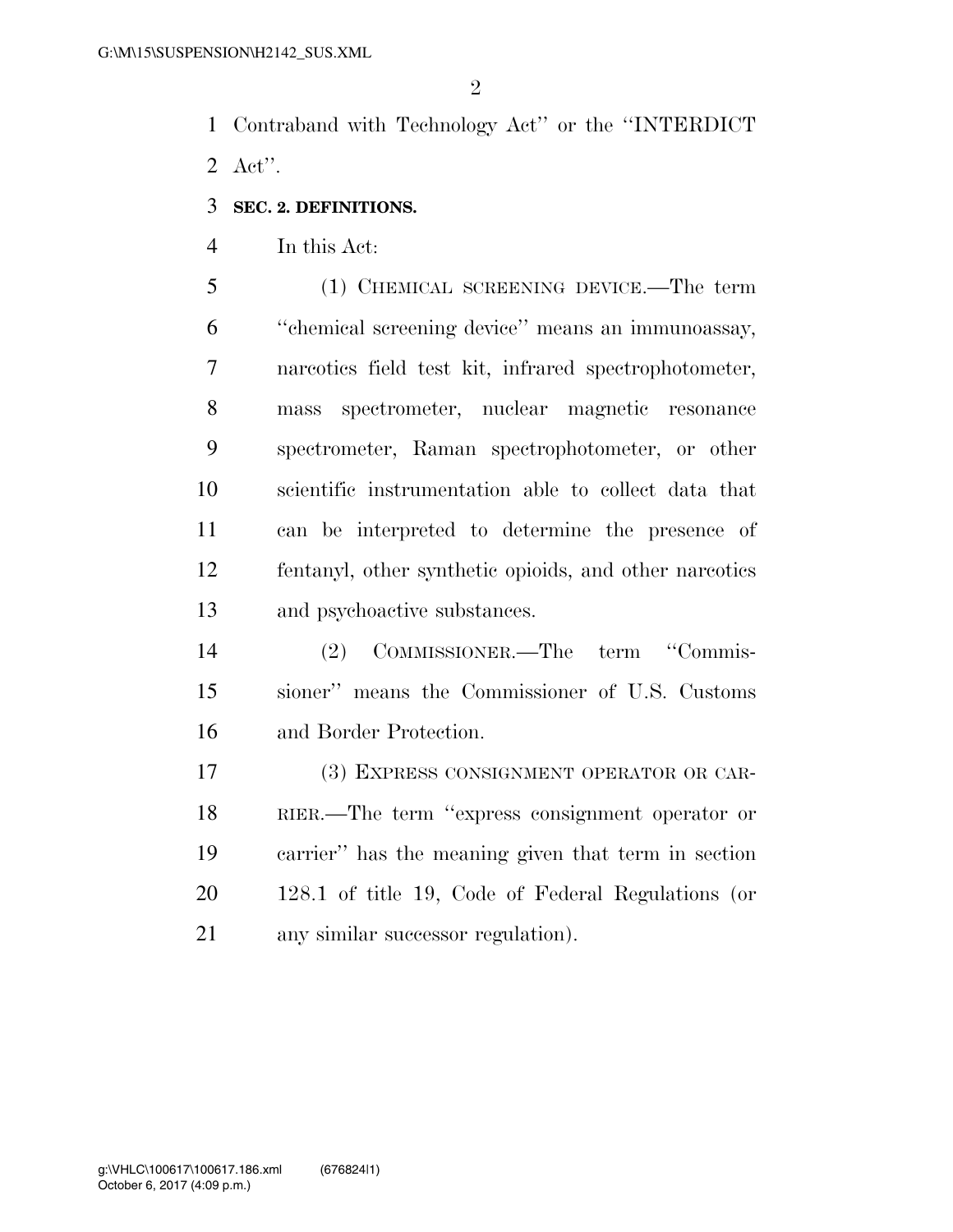Contraband with Technology Act'' or the ''INTERDICT Act''.

## **SEC. 2. DEFINITIONS.**

In this Act:

 (1) CHEMICAL SCREENING DEVICE.—The term ''chemical screening device'' means an immunoassay, narcotics field test kit, infrared spectrophotometer, mass spectrometer, nuclear magnetic resonance spectrometer, Raman spectrophotometer, or other scientific instrumentation able to collect data that can be interpreted to determine the presence of fentanyl, other synthetic opioids, and other narcotics and psychoactive substances.

 (2) COMMISSIONER.—The term ''Commis- sioner'' means the Commissioner of U.S. Customs and Border Protection.

 (3) EXPRESS CONSIGNMENT OPERATOR OR CAR- RIER.—The term ''express consignment operator or carrier'' has the meaning given that term in section 128.1 of title 19, Code of Federal Regulations (or any similar successor regulation).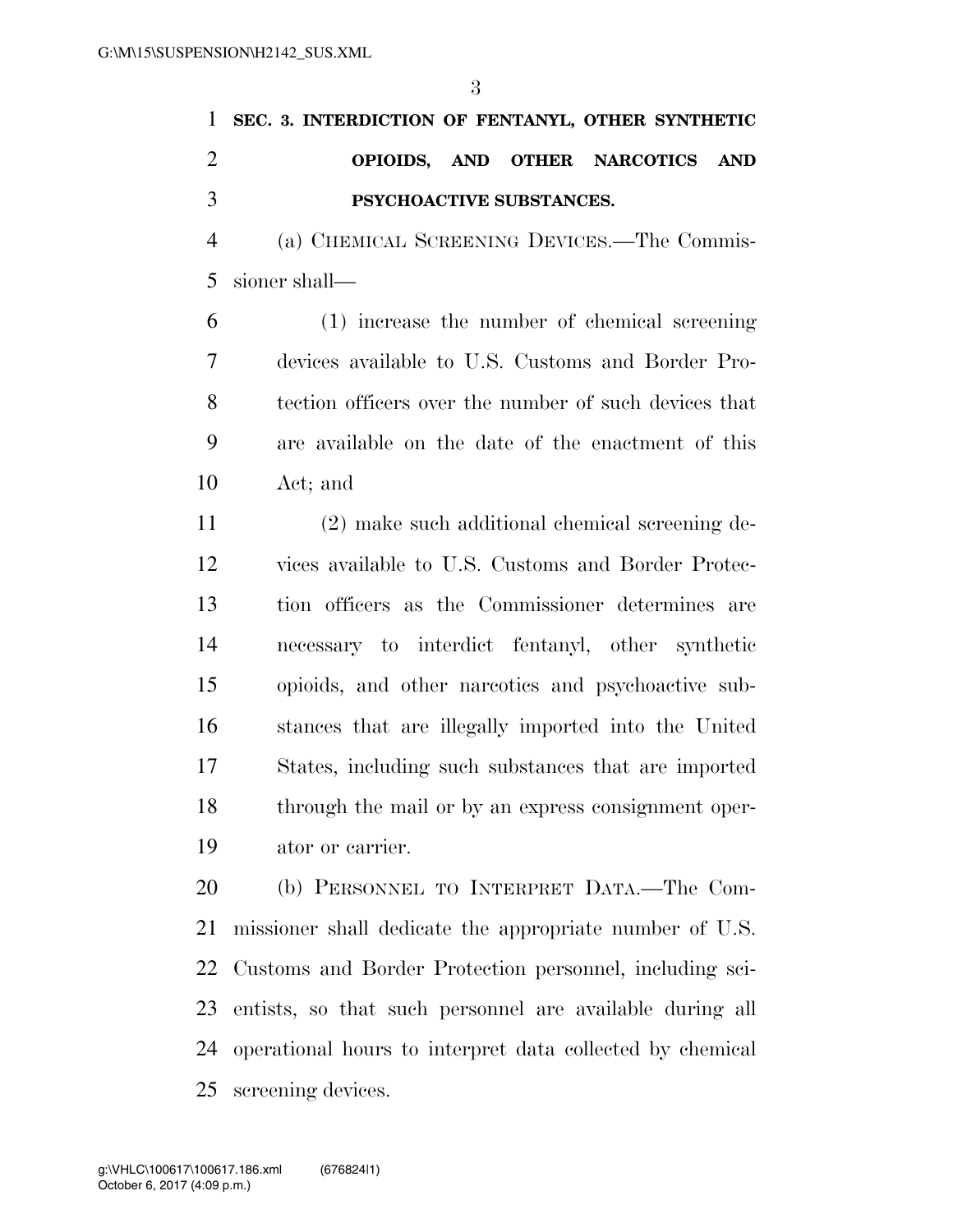|               |                                 |  |  | 1 SEC. 3. INTERDICTION OF FENTANYL, OTHER SYNTHETIC |  |  |
|---------------|---------------------------------|--|--|-----------------------------------------------------|--|--|
| $\mathcal{D}$ |                                 |  |  | OPIOIDS, AND OTHER NARCOTICS AND                    |  |  |
| $\mathcal{R}$ | <b>PSYCHOACTIVE SUBSTANCES.</b> |  |  |                                                     |  |  |

 (a) CHEMICAL SCREENING DEVICES.—The Commis-sioner shall—

 (1) increase the number of chemical screening devices available to U.S. Customs and Border Pro- tection officers over the number of such devices that are available on the date of the enactment of this Act; and

 (2) make such additional chemical screening de- vices available to U.S. Customs and Border Protec- tion officers as the Commissioner determines are necessary to interdict fentanyl, other synthetic opioids, and other narcotics and psychoactive sub- stances that are illegally imported into the United States, including such substances that are imported through the mail or by an express consignment oper-ator or carrier.

 (b) PERSONNEL TO INTERPRET DATA.—The Com- missioner shall dedicate the appropriate number of U.S. Customs and Border Protection personnel, including sci- entists, so that such personnel are available during all operational hours to interpret data collected by chemical screening devices.